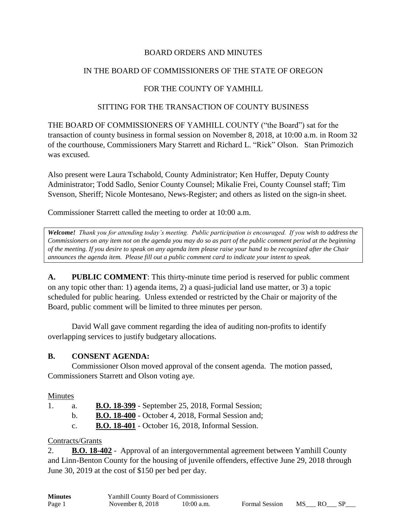#### BOARD ORDERS AND MINUTES

#### IN THE BOARD OF COMMISSIONERS OF THE STATE OF OREGON

## FOR THE COUNTY OF YAMHILL

#### SITTING FOR THE TRANSACTION OF COUNTY BUSINESS

THE BOARD OF COMMISSIONERS OF YAMHILL COUNTY ("the Board") sat for the transaction of county business in formal session on November 8, 2018, at 10:00 a.m. in Room 32 of the courthouse, Commissioners Mary Starrett and Richard L. "Rick" Olson. Stan Primozich was excused.

Also present were Laura Tschabold, County Administrator; Ken Huffer, Deputy County Administrator; Todd Sadlo, Senior County Counsel; Mikalie Frei, County Counsel staff; Tim Svenson, Sheriff; Nicole Montesano, News-Register; and others as listed on the sign-in sheet.

Commissioner Starrett called the meeting to order at 10:00 a.m.

*Welcome! Thank you for attending today's meeting. Public participation is encouraged. If you wish to address the Commissioners on any item not on the agenda you may do so as part of the public comment period at the beginning of the meeting. If you desire to speak on any agenda item please raise your hand to be recognized after the Chair announces the agenda item. Please fill out a public comment card to indicate your intent to speak.*

**A. PUBLIC COMMENT**: This thirty-minute time period is reserved for public comment on any topic other than: 1) agenda items, 2) a quasi-judicial land use matter, or 3) a topic scheduled for public hearing. Unless extended or restricted by the Chair or majority of the Board, public comment will be limited to three minutes per person.

David Wall gave comment regarding the idea of auditing non-profits to identify overlapping services to justify budgetary allocations.

## **B. CONSENT AGENDA:**

Commissioner Olson moved approval of the consent agenda. The motion passed, Commissioners Starrett and Olson voting aye.

#### Minutes

1. a. **B.O. 18-399** - September 25, 2018, Formal Session;

b. **B.O. 18-400** - October 4, 2018, Formal Session and;

c. **B.O. 18-401** - October 16, 2018, Informal Session.

## Contracts/Grants

2. **B.O. 18-402** - Approval of an intergovernmental agreement between Yamhill County and Linn-Benton County for the housing of juvenile offenders, effective June 29, 2018 through June 30, 2019 at the cost of \$150 per bed per day.

| <b>Minutes</b> | <b>Yamhill County Board of Commissioners</b> |              |  |
|----------------|----------------------------------------------|--------------|--|
| Page 1         | November $8, 2018$                           | $10:00$ a.m. |  |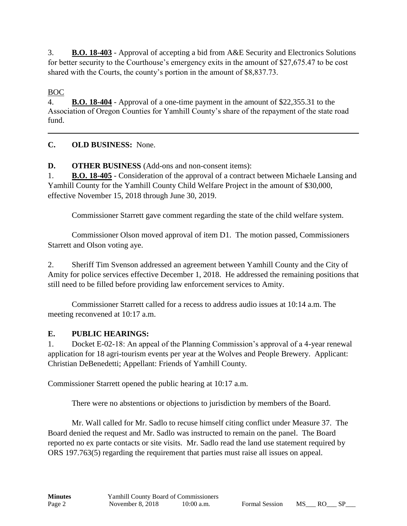3. **B.O. 18-403** - Approval of accepting a bid from A&E Security and Electronics Solutions for better security to the Courthouse's emergency exits in the amount of \$27,675.47 to be cost shared with the Courts, the county's portion in the amount of \$8,837.73.

BOC

4. **B.O. 18-404** - Approval of a one-time payment in the amount of \$22,355.31 to the Association of Oregon Counties for Yamhill County's share of the repayment of the state road fund.

**C. OLD BUSINESS:** None.

**D. OTHER BUSINESS** (Add-ons and non-consent items):

1. **B.O. 18-405** - Consideration of the approval of a contract between Michaele Lansing and Yamhill County for the Yamhill County Child Welfare Project in the amount of \$30,000, effective November 15, 2018 through June 30, 2019.

Commissioner Starrett gave comment regarding the state of the child welfare system.

Commissioner Olson moved approval of item D1. The motion passed, Commissioners Starrett and Olson voting aye.

2. Sheriff Tim Svenson addressed an agreement between Yamhill County and the City of Amity for police services effective December 1, 2018. He addressed the remaining positions that still need to be filled before providing law enforcement services to Amity.

Commissioner Starrett called for a recess to address audio issues at 10:14 a.m. The meeting reconvened at 10:17 a.m.

# **E. PUBLIC HEARINGS:**

1. Docket E-02-18: An appeal of the Planning Commission's approval of a 4-year renewal application for 18 agri-tourism events per year at the Wolves and People Brewery. Applicant: Christian DeBenedetti; Appellant: Friends of Yamhill County.

Commissioner Starrett opened the public hearing at 10:17 a.m.

There were no abstentions or objections to jurisdiction by members of the Board.

Mr. Wall called for Mr. Sadlo to recuse himself citing conflict under Measure 37. The Board denied the request and Mr. Sadlo was instructed to remain on the panel. The Board reported no ex parte contacts or site visits. Mr. Sadlo read the land use statement required by ORS 197.763(5) regarding the requirement that parties must raise all issues on appeal.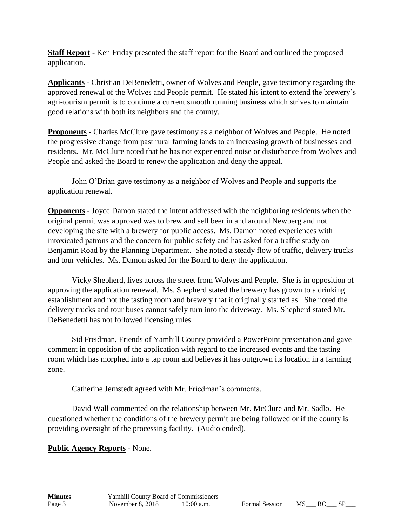**Staff Report** - Ken Friday presented the staff report for the Board and outlined the proposed application.

**Applicants** - Christian DeBenedetti, owner of Wolves and People, gave testimony regarding the approved renewal of the Wolves and People permit. He stated his intent to extend the brewery's agri-tourism permit is to continue a current smooth running business which strives to maintain good relations with both its neighbors and the county.

**Proponents** - Charles McClure gave testimony as a neighbor of Wolves and People. He noted the progressive change from past rural farming lands to an increasing growth of businesses and residents. Mr. McClure noted that he has not experienced noise or disturbance from Wolves and People and asked the Board to renew the application and deny the appeal.

John O'Brian gave testimony as a neighbor of Wolves and People and supports the application renewal.

**Opponents** - Joyce Damon stated the intent addressed with the neighboring residents when the original permit was approved was to brew and sell beer in and around Newberg and not developing the site with a brewery for public access. Ms. Damon noted experiences with intoxicated patrons and the concern for public safety and has asked for a traffic study on Benjamin Road by the Planning Department. She noted a steady flow of traffic, delivery trucks and tour vehicles. Ms. Damon asked for the Board to deny the application.

Vicky Shepherd, lives across the street from Wolves and People. She is in opposition of approving the application renewal. Ms. Shepherd stated the brewery has grown to a drinking establishment and not the tasting room and brewery that it originally started as. She noted the delivery trucks and tour buses cannot safely turn into the driveway. Ms. Shepherd stated Mr. DeBenedetti has not followed licensing rules.

Sid Freidman, Friends of Yamhill County provided a PowerPoint presentation and gave comment in opposition of the application with regard to the increased events and the tasting room which has morphed into a tap room and believes it has outgrown its location in a farming zone.

Catherine Jernstedt agreed with Mr. Friedman's comments.

David Wall commented on the relationship between Mr. McClure and Mr. Sadlo. He questioned whether the conditions of the brewery permit are being followed or if the county is providing oversight of the processing facility. (Audio ended).

## **Public Agency Reports** - None.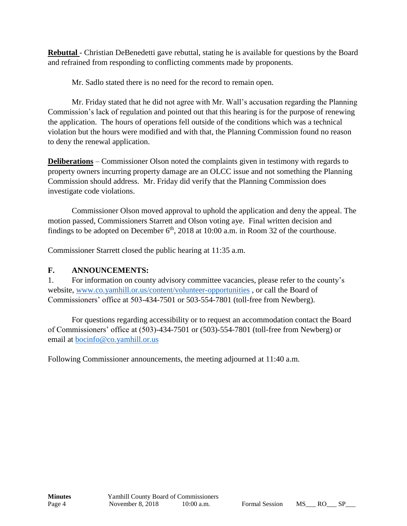**Rebuttal** - Christian DeBenedetti gave rebuttal, stating he is available for questions by the Board and refrained from responding to conflicting comments made by proponents.

Mr. Sadlo stated there is no need for the record to remain open.

Mr. Friday stated that he did not agree with Mr. Wall's accusation regarding the Planning Commission's lack of regulation and pointed out that this hearing is for the purpose of renewing the application. The hours of operations fell outside of the conditions which was a technical violation but the hours were modified and with that, the Planning Commission found no reason to deny the renewal application.

**Deliberations** – Commissioner Olson noted the complaints given in testimony with regards to property owners incurring property damage are an OLCC issue and not something the Planning Commission should address. Mr. Friday did verify that the Planning Commission does investigate code violations.

Commissioner Olson moved approval to uphold the application and deny the appeal. The motion passed, Commissioners Starrett and Olson voting aye. Final written decision and findings to be adopted on December  $6<sup>th</sup>$ , 2018 at 10:00 a.m. in Room 32 of the courthouse.

Commissioner Starrett closed the public hearing at 11:35 a.m.

## **F. ANNOUNCEMENTS:**

1. For information on county advisory committee vacancies, please refer to the county's website, [www.co.yamhill.or.us/content/volunteer-opportunities](http://www.co.yamhill.or.us/content/volunteer-opportunities) , or call the Board of Commissioners' office at 503-434-7501 or 503-554-7801 (toll-free from Newberg).

For questions regarding accessibility or to request an accommodation contact the Board of Commissioners' office at (503)-434-7501 or (503)-554-7801 (toll-free from Newberg) or email at [bocinfo@co.yamhill.or.us](mailto:bocinfo@co.yamhill.or.us)

Following Commissioner announcements, the meeting adjourned at 11:40 a.m.